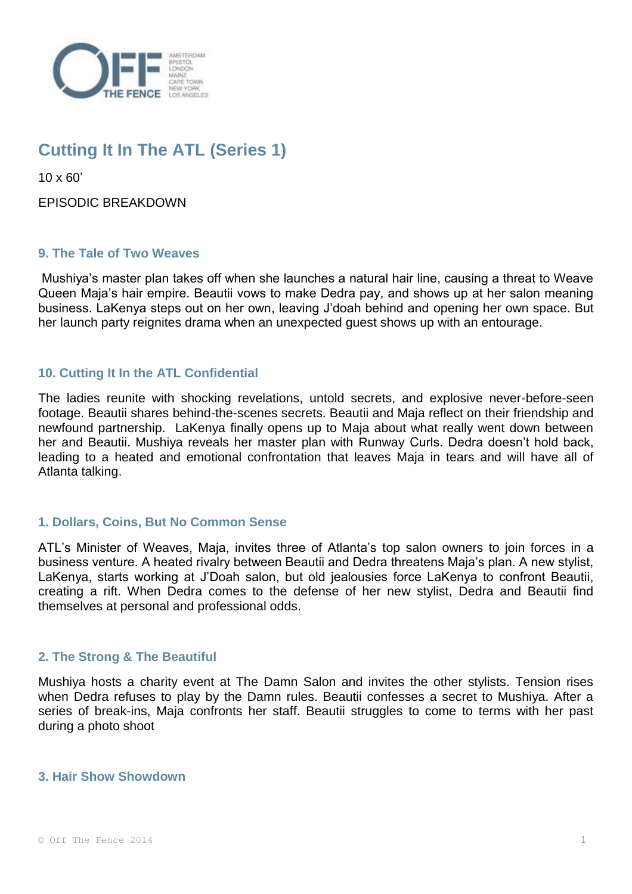

# **Cutting It In The ATL (Series 1)**

10 x 60'

EPISODIC BREAKDOWN

# **9. The Tale of Two Weaves**

Mushiya's master plan takes off when she launches a natural hair line, causing a threat to Weave Queen Maja's hair empire. Beautii vows to make Dedra pay, and shows up at her salon meaning business. LaKenya steps out on her own, leaving J'doah behind and opening her own space. But her launch party reignites drama when an unexpected guest shows up with an entourage.

# **10. Cutting It In the ATL Confidential**

The ladies reunite with shocking revelations, untold secrets, and explosive never-before-seen footage. Beautii shares behind-the-scenes secrets. Beautii and Maja reflect on their friendship and newfound partnership. LaKenya finally opens up to Maja about what really went down between her and Beautii. Mushiya reveals her master plan with Runway Curls. Dedra doesn't hold back, leading to a heated and emotional confrontation that leaves Maja in tears and will have all of Atlanta talking.

# **1. Dollars, Coins, But No Common Sense**

ATL's Minister of Weaves, Maja, invites three of Atlanta's top salon owners to join forces in a business venture. A heated rivalry between Beautii and Dedra threatens Maja's plan. A new stylist, LaKenya, starts working at J'Doah salon, but old jealousies force LaKenya to confront Beautii, creating a rift. When Dedra comes to the defense of her new stylist, Dedra and Beautii find themselves at personal and professional odds.

### **2. The Strong & The Beautiful**

Mushiya hosts a charity event at The Damn Salon and invites the other stylists. Tension rises when Dedra refuses to play by the Damn rules. Beautii confesses a secret to Mushiya. After a series of break-ins, Maja confronts her staff. Beautii struggles to come to terms with her past during a photo shoot

### **3. Hair Show Showdown**